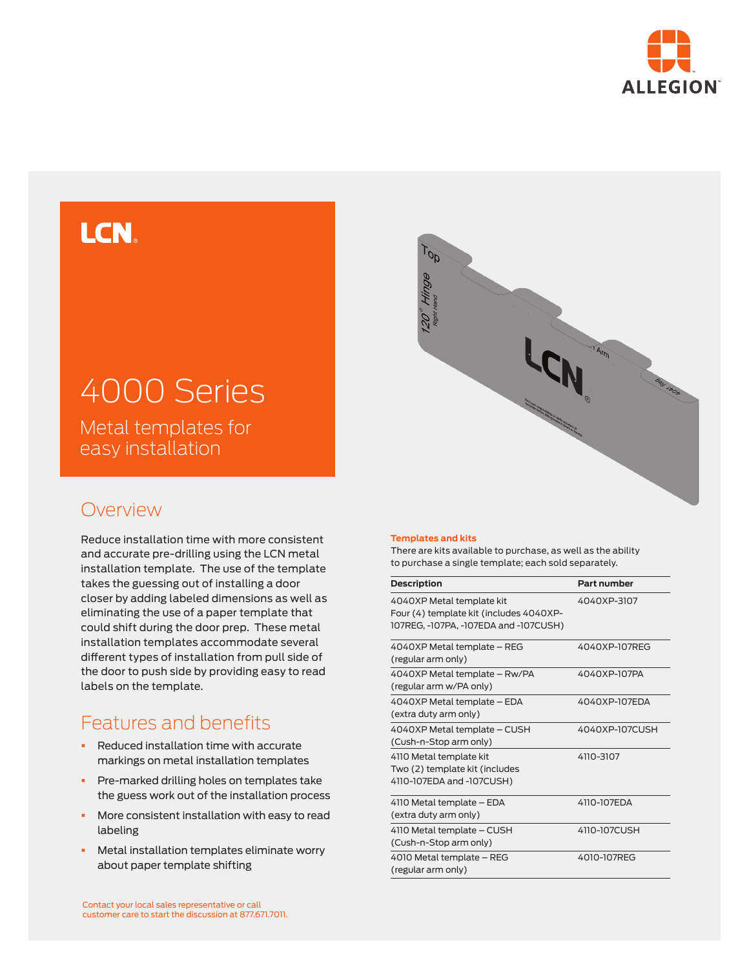

## **LCN**

# 4000 Series

Metal templates for easy installation

### Overview

Reduce installation time with more consistent and accurate pre-drilling using the LCN metal installation template. The use of the template takes the guessing out of installing a door closer by adding labeled dimensions as well as eliminating the use of a paper template that could shift during the door prep. These metal installation templates accommodate several different types of installation from pull side of the door to push side by providing easy to read labels on the template.

## Features and benefits

- Reduced installation time with accurate markings on metal installation templates
- **•** Pre-marked drilling holes on templates take the guess work out of the installation process
- § More consistent installation with easy to read labeling
- § Metal installation templates eliminate worry about paper template shifting



#### **Templates and kits**

There are kits available to purchase, as well as the ability to purchase a single template; each sold separately.

| <b>Description</b>                                                                                            | Part number    |
|---------------------------------------------------------------------------------------------------------------|----------------|
| 4040XP Metal template kit<br>Four (4) template kit (includes 4040XP-<br>107REG, -107PA, -107EDA and -107CUSH) | 4040XP-3107    |
| 4040XP Metal template - REG<br>(regular arm only)                                                             | 4040XP-107REG  |
| 4040XP Metal template - Rw/PA<br>(regular arm w/PA only)                                                      | 4040XP-107PA   |
| 4040XP Metal template - EDA<br>(extra duty arm only)                                                          | 4040XP-107EDA  |
| 4040XP Metal template - CUSH<br>(Cush-n-Stop arm only)                                                        | 4040XP-107CUSH |
| 4110 Metal template kit<br>Two (2) template kit (includes<br>4110-107EDA and -107CUSH)                        | 4110-3107      |
| 4110 Metal template – EDA<br>(extra duty arm only)                                                            | 4110-107FDA    |
| 4110 Metal template - CUSH<br>(Cush-n-Stop arm only)                                                          | 4110-107CUSH   |
| 4010 Metal template - REG<br>(regular arm only)                                                               | 4010-107REG    |